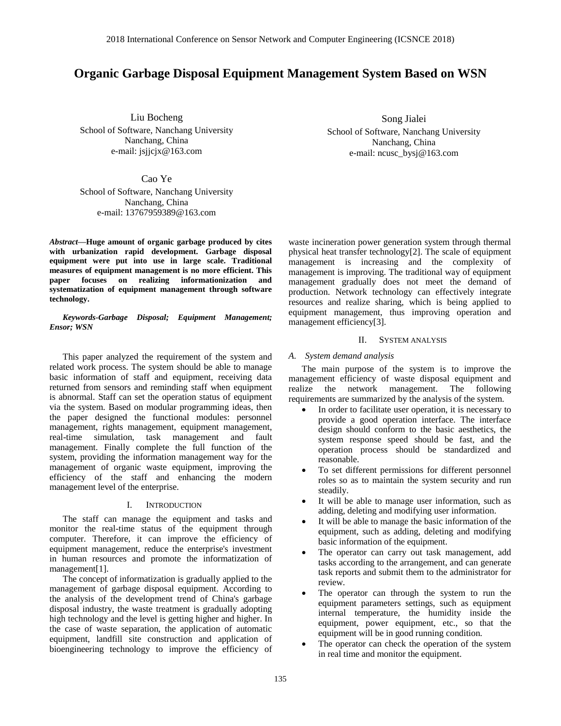# **Organic Garbage Disposal Equipment Management System Based on WSN**

Liu Bocheng

School of Software, Nanchang University Nanchang, China e-mail: [jsjjcjx@163.com](mailto:jsjjcjx@163.com)

Song Jialei School of Software, Nanchang University Nanchang, China e-mail: ncusc\_bysj@163.com

Cao Ye

School of Software, Nanchang University Nanchang, China e-mail: 13767959389@163.com

*Abstract—***Huge amount of organic garbage produced by cites with urbanization rapid development. Garbage disposal equipment were put into use in large scale. Traditional measures of equipment management is no more efficient. This paper focuses on realizing informationization and systematization of equipment management through software technology.**

*Keywords-Garbage Disposal; Equipment Management; Ensor; WSN*

This paper analyzed the requirement of the system and related work process. The system should be able to manage basic information of staff and equipment, receiving data returned from sensors and reminding staff when equipment is abnormal. Staff can set the operation status of equipment via the system. Based on modular programming ideas, then the paper designed the functional modules: personnel management, rights management, equipment management, real-time simulation, task management and fault management. Finally complete the full function of the system, providing the information management way for the management of organic waste equipment, improving the efficiency of the staff and enhancing the modern management level of the enterprise.

# I. INTRODUCTION

The staff can manage the equipment and tasks and monitor the real-time status of the equipment through computer. Therefore, it can improve the efficiency of equipment management, reduce the enterprise's investment in human resources and promote the informatization of management[1].

The concept of informatization is gradually applied to the management of garbage disposal equipment. According to the analysis of the development trend of China's garbage disposal industry, the waste treatment is gradually adopting high technology and the level is getting higher and higher. In the case of waste separation, the application of automatic equipment, landfill site construction and application of bioengineering technology to improve the efficiency of waste incineration power generation system through thermal physical heat transfer technology[2]. The scale of equipment management is increasing and the complexity of management is improving. The traditional way of equipment management gradually does not meet the demand of production. Network technology can effectively integrate resources and realize sharing, which is being applied to equipment management, thus improving operation and management efficiency[3].

# II. SYSTEM ANALYSIS

# *A. System demand analysis*

The main purpose of the system is to improve the management efficiency of waste disposal equipment and realize the network management. The following requirements are summarized by the analysis of the system.

- In order to facilitate user operation, it is necessary to provide a good operation interface. The interface design should conform to the basic aesthetics, the system response speed should be fast, and the operation process should be standardized and reasonable.
- To set different permissions for different personnel roles so as to maintain the system security and run steadily.
- It will be able to manage user information, such as adding, deleting and modifying user information.
- It will be able to manage the basic information of the equipment, such as adding, deleting and modifying basic information of the equipment.
- The operator can carry out task management, add tasks according to the arrangement, and can generate task reports and submit them to the administrator for review.
- The operator can through the system to run the equipment parameters settings, such as equipment internal temperature, the humidity inside the equipment, power equipment, etc., so that the equipment will be in good running condition.
- The operator can check the operation of the system in real time and monitor the equipment.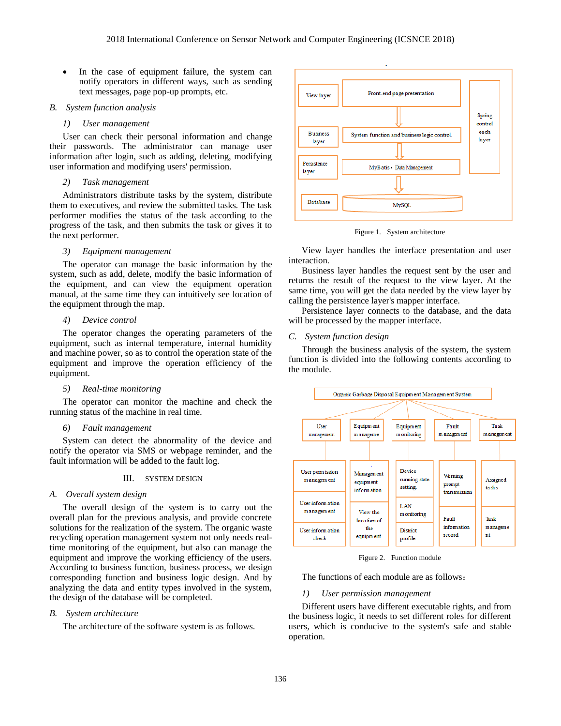• In the case of equipment failure, the system can notify operators in different ways, such as sending text messages, page pop-up prompts, etc.

# *B. System function analysis*

# *1) User management*

User can check their personal information and change their passwords. The administrator can manage user information after login, such as adding, deleting, modifying user information and modifying users' permission.

## *2) Task management*

Administrators distribute tasks by the system, distribute them to executives, and review the submitted tasks. The task performer modifies the status of the task according to the progress of the task, and then submits the task or gives it to the next performer.

# *3) Equipment management*

The operator can manage the basic information by the system, such as add, delete, modify the basic information of the equipment, and can view the equipment operation manual, at the same time they can intuitively see location of the equipment through the map.

# *4) Device control*

The operator changes the operating parameters of the equipment, such as internal temperature, internal humidity and machine power, so as to control the operation state of the equipment and improve the operation efficiency of the equipment.

# *5) Real-time monitoring*

The operator can monitor the machine and check the running status of the machine in real time.

# *6) Fault management*

System can detect the abnormality of the device and notify the operator via SMS or webpage reminder, and the fault information will be added to the fault log.

## III. SYSTEM DESIGN

#### *A. Overall system design*

The overall design of the system is to carry out the overall plan for the previous analysis, and provide concrete solutions for the realization of the system. The organic waste recycling operation management system not only needs realtime monitoring of the equipment, but also can manage the equipment and improve the working efficiency of the users. According to business function, business process, we design corresponding function and business logic design. And by analyzing the data and entity types involved in the system, the design of the database will be completed.

# *B. System architecture*

The architecture of the software system is as follows.



Figure 1. System architecture

View layer handles the interface presentation and user interaction.

Business layer handles the request sent by the user and returns the result of the request to the view layer. At the same time, you will get the data needed by the view layer by calling the persistence layer's mapper interface.

Persistence layer connects to the database, and the data will be processed by the mapper interface.

## *C. System function design*

Through the business analysis of the system, the system function is divided into the following contents according to the module.



Figure 2. Function module

The functions of each module are as follows:

# *1) User permission management*

Different users have different executable rights, and from the business logic, it needs to set different roles for different users, which is conducive to the system's safe and stable operation.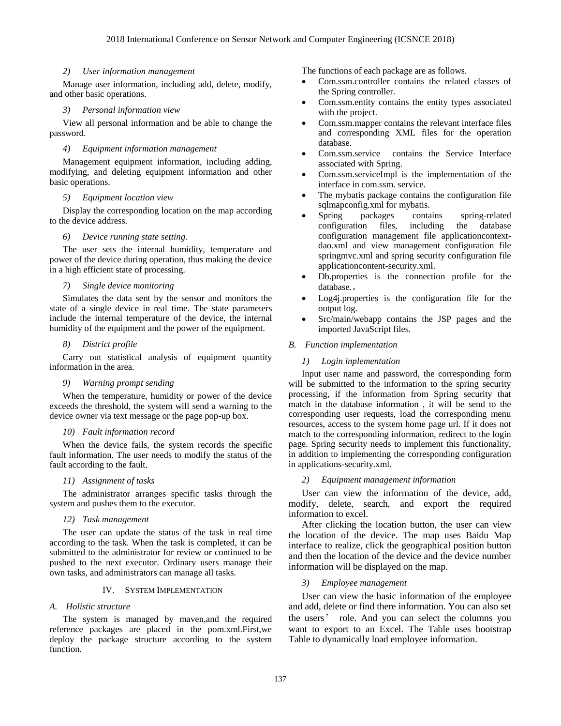## *2) User information management*

Manage user information, including add, delete, modify, and other basic operations.

# *3) Personal information view*

View all personal information and be able to change the password.

# *4) Equipment information management*

Management equipment information, including adding, modifying, and deleting equipment information and other basic operations.

# *5) Equipment location view*

Display the corresponding location on the map according to the device address.

#### *6) Device running state setting.*

The user sets the internal humidity, temperature and power of the device during operation, thus making the device in a high efficient state of processing.

# *7) Single device monitoring*

Simulates the data sent by the sensor and monitors the state of a single device in real time. The state parameters include the internal temperature of the device, the internal humidity of the equipment and the power of the equipment.

# *8) District profile*

Carry out statistical analysis of equipment quantity information in the area.

#### *9) Warning prompt sending*

When the temperature, humidity or power of the device exceeds the threshold, the system will send a warning to the device owner via text message or the page pop-up box.

## *10) Fault information record*

When the device fails, the system records the specific fault information. The user needs to modify the status of the fault according to the fault.

# *11) Assignment of tasks*

The administrator arranges specific tasks through the system and pushes them to the executor.

# *12) Task management*

The user can update the status of the task in real time according to the task. When the task is completed, it can be submitted to the administrator for review or continued to be pushed to the next executor. Ordinary users manage their own tasks, and administrators can manage all tasks.

## IV. SYSTEM IMPLEMENTATION

# *A. Holistic structure*

The system is managed by maven,and the required reference packages are placed in the pom.xml.First,we deploy the package structure according to the system function.

The functions of each package are as follows.

- Com.ssm.controller contains the related classes of the Spring controller.
- Com.ssm.entity contains the entity types associated with the project.
- Com.ssm.mapper contains the relevant interface files and corresponding XML files for the operation database.
- Com.ssm.service contains the Service Interface associated with Spring.
- Com.ssm.serviceImpl is the implementation of the interface in com.ssm. service.
- The mybatis package contains the configuration file sqlmapconfig.xml for mybatis.
- Spring packages contains spring-related configuration files, including the database configuration management file applicationcontextdao.xml and view management configuration file springmvc.xml and spring security configuration file applicationcontent-security.xml.
- Db.properties is the connection profile for the database.。
- Log4j.properties is the configuration file for the output log.
- Src/main/webapp contains the JSP pages and the imported JavaScript files.

#### *B. Function implementation*

# *1) Login inplementation*

Input user name and password, the corresponding form will be submitted to the information to the spring security processing, if the information from Spring security that match in the database information , it will be send to the corresponding user requests, load the corresponding menu resources, access to the system home page url. If it does not match to the corresponding information, redirect to the login page. Spring security needs to implement this functionality, in addition to implementing the corresponding configuration in applications-security.xml.

# *2) Equipment management information*

User can view the information of the device, add, modify, delete, search, and export the required information to excel.

After clicking the location button, the user can view the location of the device. The map uses Baidu Map interface to realize, click the geographical position button and then the location of the device and the device number information will be displayed on the map.

# *3) Employee management*

User can view the basic information of the employee and add, delete or find there information. You can also set the users' role. And you can select the columns you want to export to an Excel. The Table uses bootstrap Table to dynamically load employee information.